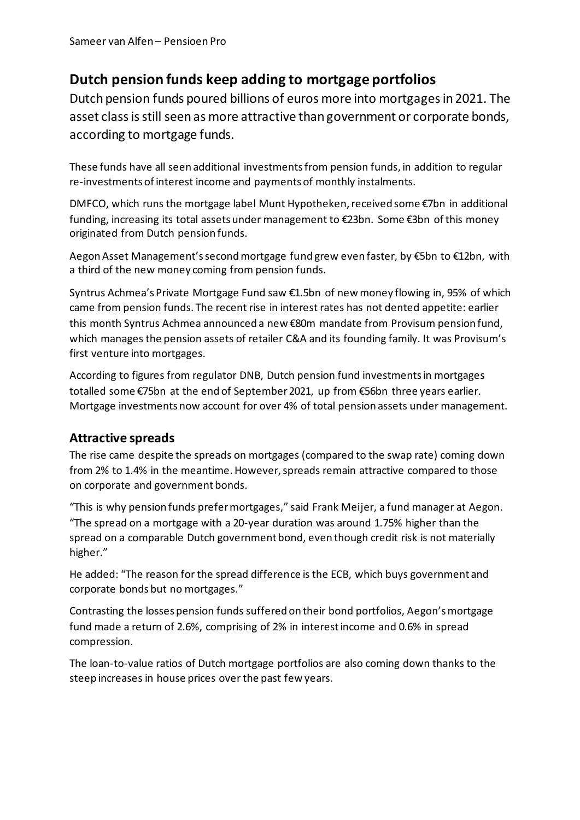## **Dutch pension funds keep adding to mortgage portfolios**

Dutch pension funds poured billions of euros more into mortgages in 2021. The asset class is still seen as more attractive than government or corporate bonds, according to mortgage funds.

These funds have all seen additional investments from pension funds, in addition to regular re-investments of interest income and payments of monthly instalments.

DMFCO, which runs the mortgage label Munt Hypotheken, received some €7bn in additional funding, increasing its total assets under management to €23bn. Some €3bn of this money originated from Dutch pension funds.

Aegon Asset Management's second mortgage fund grew even faster, by €5bn to €12bn, with a third of the new money coming from pension funds.

Syntrus Achmea's Private Mortgage Fund saw €1.5bn of new money flowing in, 95% of which came from pension funds. The recent rise in interest rates has not dented appetite: earlier this month Syntrus Achmea announced a new €80m mandate from Provisum pension fund, which manages the pension assets of retailer C&A and its founding family. It was Provisum's first venture into mortgages.

According to figures from regulator DNB, Dutch pension fund investments in mortgages totalled some €75bn at the end of September 2021, up from €56bn three years earlier. Mortgage investments now account for over 4% of total pension assets under management.

## **Attractive spreads**

The rise came despite the spreads on mortgages (compared to the swap rate) coming down from 2% to 1.4% in the meantime. However, spreads remain attractive compared to those on corporate and government bonds.

"This is why pension funds prefer mortgages," said Frank Meijer, a fund manager at Aegon. "The spread on a mortgage with a 20-year duration was around 1.75% higher than the spread on a comparable Dutch government bond, even though credit risk is not materially higher."

He added: "The reason for the spread difference is the ECB, which buys government and corporate bonds but no mortgages."

Contrasting the losses pension funds suffered on their bond portfolios, Aegon's mortgage fund made a return of 2.6%, comprising of 2% in interest income and 0.6% in spread compression.

The loan-to-value ratios of Dutch mortgage portfolios are also coming down thanks to the steep increases in house prices over the past few years.